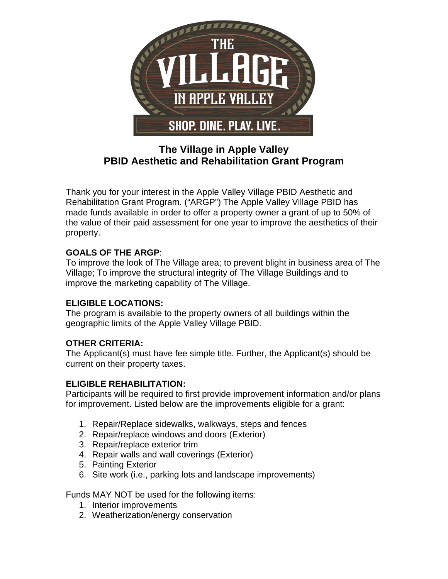

# **The Village in Apple Valley PBID Aesthetic and Rehabilitation Grant Program**

Thank you for your interest in the Apple Valley Village PBID Aesthetic and Rehabilitation Grant Program. ("ARGP") The Apple Valley Village PBID has made funds available in order to offer a property owner a grant of up to 50% of the value of their paid assessment for one year to improve the aesthetics of their property.

# **GOALS OF THE ARGP**:

To improve the look of The Village area; to prevent blight in business area of The Village; To improve the structural integrity of The Village Buildings and to improve the marketing capability of The Village.

## **ELIGIBLE LOCATIONS:**

The program is available to the property owners of all buildings within the geographic limits of the Apple Valley Village PBID.

## **OTHER CRITERIA:**

The Applicant(s) must have fee simple title. Further, the Applicant(s) should be current on their property taxes.

## **ELIGIBLE REHABILITATION:**

Participants will be required to first provide improvement information and/or plans for improvement. Listed below are the improvements eligible for a grant:

- 1. Repair/Replace sidewalks, walkways, steps and fences
- 2. Repair/replace windows and doors (Exterior)
- 3. Repair/replace exterior trim
- 4. Repair walls and wall coverings (Exterior)
- 5. Painting Exterior
- 6. Site work (i.e., parking lots and landscape improvements)

Funds MAY NOT be used for the following items:

- 1. Interior improvements
- 2. Weatherization/energy conservation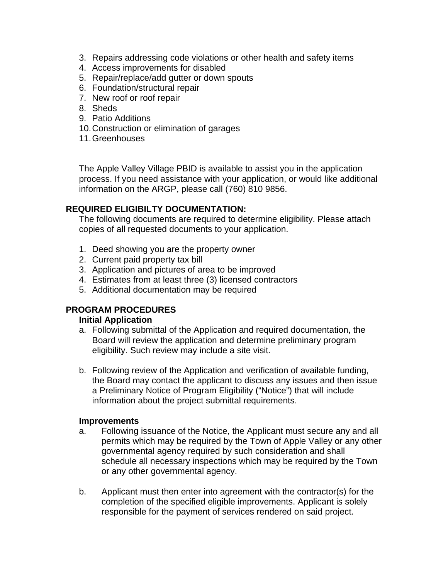- 3. Repairs addressing code violations or other health and safety items
- 4. Access improvements for disabled
- 5. Repair/replace/add gutter or down spouts
- 6. Foundation/structural repair
- 7. New roof or roof repair
- 8. Sheds
- 9. Patio Additions
- 10. Construction or elimination of garages
- 11. Greenhouses

The Apple Valley Village PBID is available to assist you in the application process. If you need assistance with your application, or would like additional information on the ARGP, please call (760) 810 9856.

### **REQUIRED ELIGIBILTY DOCUMENTATION:**

The following documents are required to determine eligibility. Please attach copies of all requested documents to your application.

- 1. Deed showing you are the property owner
- 2. Current paid property tax bill
- 3. Application and pictures of area to be improved
- 4. Estimates from at least three (3) licensed contractors
- 5. Additional documentation may be required

### **PROGRAM PROCEDURES**

#### **Initial Application**

- a. Following submittal of the Application and required documentation, the Board will review the application and determine preliminary program eligibility. Such review may include a site visit.
- b. Following review of the Application and verification of available funding, the Board may contact the applicant to discuss any issues and then issue a Preliminary Notice of Program Eligibility ("Notice") that will include information about the project submittal requirements.

#### **Improvements**

- a. Following issuance of the Notice, the Applicant must secure any and all permits which may be required by the Town of Apple Valley or any other governmental agency required by such consideration and shall schedule all necessary inspections which may be required by the Town or any other governmental agency.
- b. Applicant must then enter into agreement with the contractor(s) for the completion of the specified eligible improvements. Applicant is solely responsible for the payment of services rendered on said project.